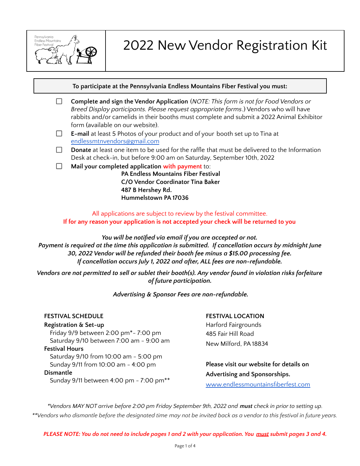

# 2022 New Vendor Registration Kit

**To participate at the Pennsylvania Endless Mountains Fiber Festival you must:**

- □ **Complete and sign the Vendor Application** (*NOTE: This form is not for Food Vendors or Breed Display participants. Please request appropriate forms*.) Vendors who will have rabbits and/or camelids in their booths must complete and submit a 2022 Animal Exhibitor form (available on our website).
- **E-mail** at least 5 Photos of your product and of your booth set up to Tina at □ [endlessmtnvendors@gmail.com](mailto:endlessmtnvendors@gmail.com)
- $\Box$ **Donate** at least one item to be used for the raffle that must be delivered to the Information Desk at check-in, but before 9:00 am on Saturday, September 10th, 2022
- П. **Mail your completed application with payment** to:

**PA Endless Mountains Fiber Festival C/O Vendor Coordinator Tina Baker 487 B Hershey Rd. Hummelstown PA 17036**

All applications are subject to review by the festival committee. **If for any reason your application is not accepted your check will be returned to you**

*You will be notified via email if you are accepted or not. Payment is required at the time this application is submitted. If cancellation occurs by midnight June 30, 2022 Vendor will be refunded their booth fee minus a \$15.00 processing fee. If cancellation occurs July 1, 2022 and after, ALL fees are non-refundable.*

Vendors are not permitted to sell or sublet their booth(s). Any vendor found in violation risks forfeiture *of future participation.*

*Advertising & Sponsor Fees are non-refundable.*

### **FESTIVAL SCHEDULE Registration & Set-up** Friday 9/9 between 2:00 pm\*- 7:00 pm Saturday 9/10 between 7:00 am - 9:00 am **Festival Hours** Saturday 9/10 from 10:00 am - 5:00 pm Sunday 9/11 from 10:00 am - 4:00 pm **Dismantle** Sunday 9/11 between 4:00 pm - 7:00 pm\*\*

### **FESTIVAL LOCATION**

Harford Fairgrounds 485 Fair Hill Road New Milford, PA 18834

**Please visit our website for details on Advertising and Sponsorships.** [www.endlessmountainsfiberfest.com](http://www.endlessmountainsfiberfest.com/)

\*Vendors MAY NOT arrive before 2:00 pm Friday September 9th, 2022 and **must** check in prior to setting up. \*\*Vendors who dismantle before the designated time may not be invited back as a vendor to this festival in future years.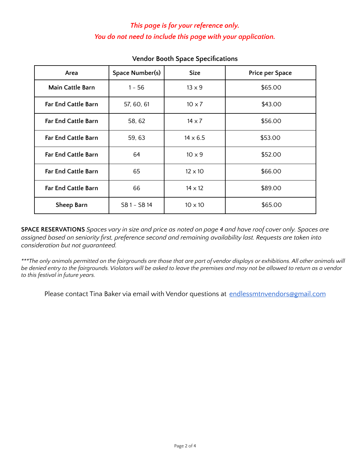## *This page is for your reference only. You do not need to include this page with your application.*

| Area                       | Space Number(s) | <b>Size</b>     | <b>Price per Space</b> |
|----------------------------|-----------------|-----------------|------------------------|
| <b>Main Cattle Barn</b>    | $1 - 56$        | $13 \times 9$   | \$65.00                |
| <b>Far End Cattle Barn</b> | 57, 60, 61      | $10 \times 7$   | \$43.00                |
| <b>Far End Cattle Barn</b> | 58,62           | $14 \times 7$   | \$56.00                |
| <b>Far End Cattle Barn</b> | 59, 63          | $14 \times 6.5$ | \$53.00                |
| <b>Far End Cattle Barn</b> | 64              | $10 \times 9$   | \$52.00                |
| <b>Far End Cattle Barn</b> | 65              | $12 \times 10$  | \$66.00                |
| <b>Far End Cattle Barn</b> | 66              | $14 \times 12$  | \$89.00                |
| Sheep Barn                 | SB 1 - SB 14    | $10 \times 10$  | \$65.00                |

## **Vendor Booth Space Specifications**

SPACE RESERVATIONS Spaces vary in size and price as noted on page 4 and have roof cover only. Spaces are *assigned based on seniority first, preference second and remaining availability last. Requests are taken into consideration but not guaranteed.*

\*\*\*The only animals permitted on the fairgrounds are those that are part of vendor displays or exhibitions. All other animals will be denied entry to the fairgrounds. Violators will be asked to leave the premises and may not be allowed to return as a vendor *to this festival in future years.*

Please contact Tina Baker via email with Vendor questions at [endlessmtnvendors@gmail.com](mailto:endlessmtnvendors@gmail.com)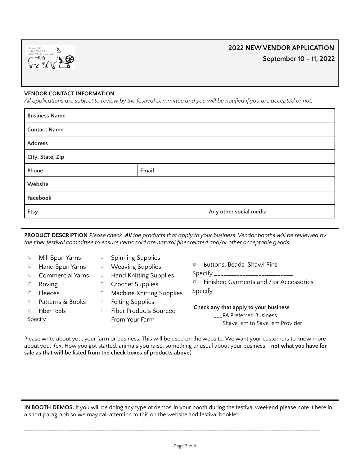

# **2022 NEW VENDOR APPLICATION September 10 - 11, 2022**

#### **VENDOR CONTACT INFORMATION**

All applications are subject to review by the festival committee and you will be notified if you are accepted or not.

| <b>Business Name</b> |                        |  |  |  |
|----------------------|------------------------|--|--|--|
| <b>Contact Name</b>  |                        |  |  |  |
| Address              |                        |  |  |  |
| City, State, Zip     |                        |  |  |  |
| Phone                | Email                  |  |  |  |
| Website              |                        |  |  |  |
| Facebook             |                        |  |  |  |
| Etsy                 | Any other social media |  |  |  |

PRODUCT DESCRIPTION Please check All the products that apply to your business. Vendor booths will be reviewed by *the fiber festival committee to ensure items sold are natural fiber related and/or other acceptable goods.*

| $\hfill \square$<br>$\hfill \square$<br>$\Box$<br>$\hfill \square$ | Mill Spun Yarns<br>Hand Spun Yarns<br><b>Commercial Yarns</b><br>Roving<br>Fleeces | $\Box$<br>$\hfill \square$ | <b>Spinning Supplies</b><br><sup>o</sup> Weaving Supplies<br><sup>o</sup> Hand Knitting Supplies<br><sup>o</sup> Crochet Supplies<br><b>Machine Knitting Supplies</b> | Buttons, Beads, Shawl Pins<br>$\Box$<br>Specify ____________________________<br>Finished Garments and / or Accessories<br>Specify_________________ |  |
|--------------------------------------------------------------------|------------------------------------------------------------------------------------|----------------------------|-----------------------------------------------------------------------------------------------------------------------------------------------------------------------|----------------------------------------------------------------------------------------------------------------------------------------------------|--|
|                                                                    | Patterns & Books<br>Fiber Tools                                                    | $\Box$<br>$\Box$           | <b>Felting Supplies</b><br>Fiber Products Sourced                                                                                                                     | Check any that apply to your business                                                                                                              |  |
| Specify_________________                                           |                                                                                    |                            | From Your Farm                                                                                                                                                        | ___PA Preferred Business<br>___Shave 'em to Save 'em Provider                                                                                      |  |

Please write about you, your farm or business: This will be used on the website. We want your customers to know more about you. (ex. How you got started, animals you raise, something unusual about your business… **not what you have for sale as that will be listed from the check boxes of products above**)

\_\_\_\_\_\_\_\_\_\_\_\_\_\_\_\_\_\_\_\_\_\_\_\_\_\_\_\_\_\_\_\_\_\_\_\_\_\_\_\_\_\_\_\_\_\_\_\_\_\_\_\_\_\_\_\_\_\_\_\_\_\_\_\_\_\_\_\_\_\_\_\_\_\_\_\_\_\_\_\_\_\_\_\_\_\_\_\_\_\_\_\_\_\_\_\_\_\_\_\_\_\_\_\_\_\_\_

\_\_\_\_\_\_\_\_\_\_\_\_\_\_\_\_\_\_\_\_\_\_\_\_\_\_\_\_\_\_\_\_\_\_\_\_\_\_\_\_\_\_\_\_\_\_\_\_\_\_\_\_\_\_\_\_\_\_\_\_\_\_\_\_\_\_\_\_\_\_\_\_\_\_\_\_\_\_\_\_\_\_\_\_\_\_\_\_\_\_\_\_\_\_\_\_\_\_\_\_\_\_\_\_\_\_

**IN BOOTH DEMOS:** If you will be doing any type of demos in your booth during the festival weekend please note it here in a short paragraph so we may call attention to this on the website and festival booklet

\_\_\_\_\_\_\_\_\_\_\_\_\_\_\_\_\_\_\_\_\_\_\_\_\_\_\_\_\_\_\_\_\_\_\_\_\_\_\_\_\_\_\_\_\_\_\_\_\_\_\_\_\_\_\_\_\_\_\_\_\_\_\_\_\_\_\_\_\_\_\_\_\_\_\_\_\_\_\_\_\_\_\_\_\_\_\_\_\_\_\_\_\_\_\_\_\_\_\_\_\_\_\_